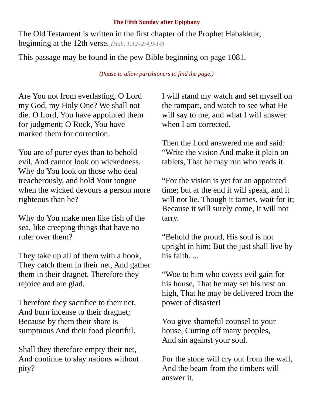## **The Fifth Sunday after Epiphany**

The Old Testament is written in the first chapter of the Prophet Habakkuk, beginning at the 12th verse. *(Hab. 1:12–2:4,9-14)*

This passage may be found in the pew Bible beginning on page 1081.

*(Pause to allow parishioners to find the page.)*

Are You not from everlasting, O Lord my God, my Holy One? We shall not die. O Lord, You have appointed them for judgment; O Rock, You have marked them for correction.

You are of purer eyes than to behold evil, And cannot look on wickedness. Why do You look on those who deal treacherously, and hold Your tongue when the wicked devours a person more righteous than he?

Why do You make men like fish of the sea, like creeping things that have no ruler over them?

They take up all of them with a hook, They catch them in their net, And gather them in their dragnet. Therefore they rejoice and are glad.

Therefore they sacrifice to their net, And burn incense to their dragnet; Because by them their share is sumptuous And their food plentiful.

Shall they therefore empty their net, And continue to slay nations without pity?

I will stand my watch and set myself on the rampart, and watch to see what He will say to me, and what I will answer when I am corrected.

Then the Lord answered me and said: "Write the vision And make it plain on tablets, That he may run who reads it.

"For the vision is yet for an appointed time; but at the end it will speak, and it will not lie. Though it tarries, wait for it; Because it will surely come, It will not tarry.

"Behold the proud, His soul is not upright in him; But the just shall live by his faith. ...

"Woe to him who covets evil gain for his house, That he may set his nest on high, That he may be delivered from the power of disaster!

You give shameful counsel to your house, Cutting off many peoples, And sin against your soul.

For the stone will cry out from the wall, And the beam from the timbers will answer it.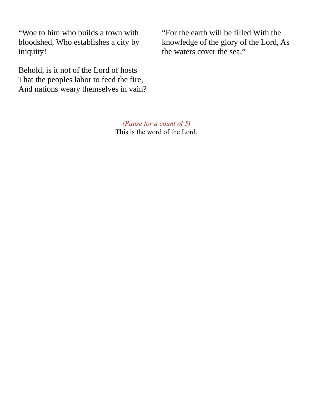"Woe to him who builds a town with bloodshed, Who establishes a city by iniquity!

Behold, is it not of the Lord of hosts That the peoples labor to feed the fire, And nations weary themselves in vain?

> *(Pause for a count of 5)* This is the word of the Lord.

"For the earth will be filled With the knowledge of the glory of the Lord, As the waters cover the sea."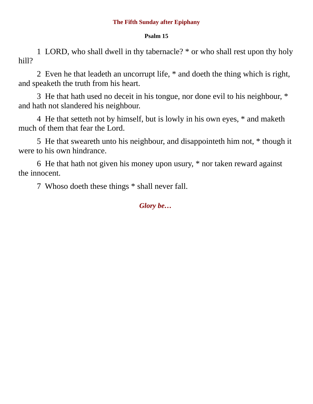## **The Fifth Sunday after Epiphany**

## **Psalm 15**

1 LORD, who shall dwell in thy tabernacle? \* or who shall rest upon thy holy hill?

2 Even he that leadeth an uncorrupt life, \* and doeth the thing which is right, and speaketh the truth from his heart.

3 He that hath used no deceit in his tongue, nor done evil to his neighbour, \* and hath not slandered his neighbour.

4 He that setteth not by himself, but is lowly in his own eyes, \* and maketh much of them that fear the Lord.

5 He that sweareth unto his neighbour, and disappointeth him not, \* though it were to his own hindrance.

6 He that hath not given his money upon usury, \* nor taken reward against the innocent.

7 Whoso doeth these things \* shall never fall.

*Glory be…*